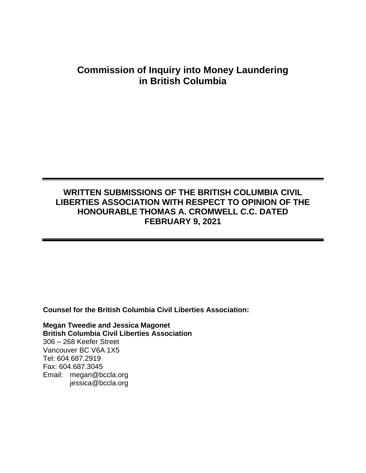# **Commission of Inquiry into Money Laundering in British Columbia**

## **WRITTEN SUBMISSIONS OF THE BRITISH COLUMBIA CIVIL LIBERTIES ASSOCIATION WITH RESPECT TO OPINION OF THE HONOURABLE THOMAS A. CROMWELL C.C. DATED FEBRUARY 9, 2021**

**Counsel for the British Columbia Civil Liberties Association:**

**Megan Tweedie and Jessica Magonet British Columbia Civil Liberties Association** 306 – 268 Keefer Street Vancouver BC V6A 1X5 Tel: 604.687.2919 Fax: 604.687.3045 Email: megan@bccla.org jessica@bccla.org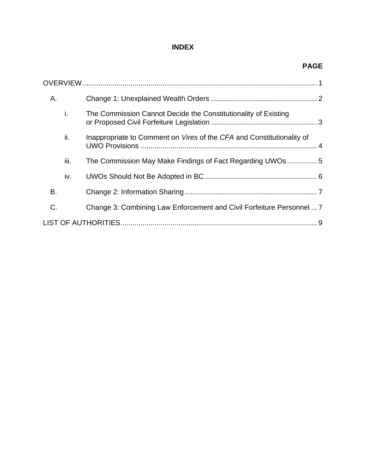### **INDEX**

| A. |      |                                                                       |  |  |
|----|------|-----------------------------------------------------------------------|--|--|
|    | i.   | The Commission Cannot Decide the Constitutionality of Existing        |  |  |
|    | ii.  | Inappropriate to Comment on Vires of the CFA and Constitutionality of |  |  |
|    | iii. | The Commission May Make Findings of Fact Regarding UWOs 5             |  |  |
|    | iv.  |                                                                       |  |  |
| В. |      |                                                                       |  |  |
| C. |      | Change 3: Combining Law Enforcement and Civil Forfeiture Personnel  7 |  |  |
|    |      |                                                                       |  |  |

#### **PAGE**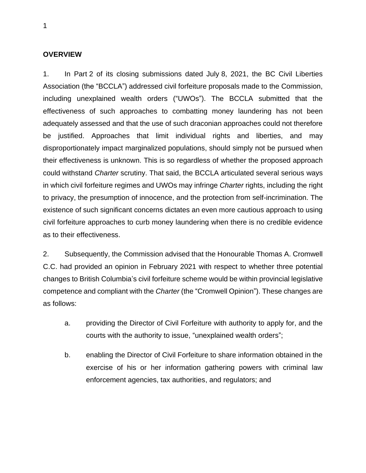#### <span id="page-2-0"></span>**OVERVIEW**

1. In Part 2 of its closing submissions dated July 8, 2021, the BC Civil Liberties Association (the "BCCLA") addressed civil forfeiture proposals made to the Commission, including unexplained wealth orders ("UWOs"). The BCCLA submitted that the effectiveness of such approaches to combatting money laundering has not been adequately assessed and that the use of such draconian approaches could not therefore be justified. Approaches that limit individual rights and liberties, and may disproportionately impact marginalized populations, should simply not be pursued when their effectiveness is unknown. This is so regardless of whether the proposed approach could withstand *Charter* scrutiny. That said, the BCCLA articulated several serious ways in which civil forfeiture regimes and UWOs may infringe *Charter* rights, including the right to privacy, the presumption of innocence, and the protection from self-incrimination. The existence of such significant concerns dictates an even more cautious approach to using civil forfeiture approaches to curb money laundering when there is no credible evidence as to their effectiveness.

2. Subsequently, the Commission advised that the Honourable Thomas A. Cromwell C.C. had provided an opinion in February 2021 with respect to whether three potential changes to British Columbia's civil forfeiture scheme would be within provincial legislative competence and compliant with the *Charter* (the "Cromwell Opinion"). These changes are as follows:

- a. providing the Director of Civil Forfeiture with authority to apply for, and the courts with the authority to issue, "unexplained wealth orders";
- b. enabling the Director of Civil Forfeiture to share information obtained in the exercise of his or her information gathering powers with criminal law enforcement agencies, tax authorities, and regulators; and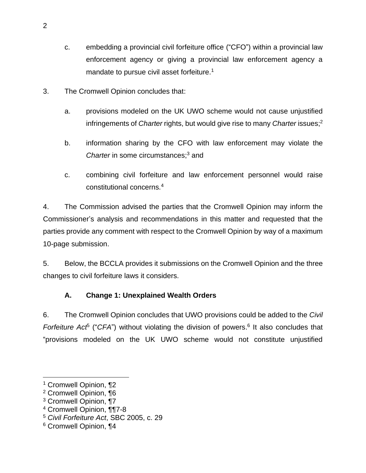- c. embedding a provincial civil forfeiture office ("CFO") within a provincial law enforcement agency or giving a provincial law enforcement agency a mandate to pursue civil asset forfeiture.<sup>1</sup>
- 3. The Cromwell Opinion concludes that:
	- a. provisions modeled on the UK UWO scheme would not cause unjustified infringements of *Charter* rights, but would give rise to many *Charter* issues; 2
	- b. information sharing by the CFO with law enforcement may violate the *Charter* in some circumstances; <sup>3</sup> and
	- c. combining civil forfeiture and law enforcement personnel would raise constitutional concerns.<sup>4</sup>

4. The Commission advised the parties that the Cromwell Opinion may inform the Commissioner's analysis and recommendations in this matter and requested that the parties provide any comment with respect to the Cromwell Opinion by way of a maximum 10-page submission.

5. Below, the BCCLA provides it submissions on the Cromwell Opinion and the three changes to civil forfeiture laws it considers.

### <span id="page-3-0"></span>**A. Change 1: Unexplained Wealth Orders**

6. The Cromwell Opinion concludes that UWO provisions could be added to the *Civil Forfeiture Act<sup>5</sup>* ("CFA") without violating the division of powers.<sup>6</sup> It also concludes that "provisions modeled on the UK UWO scheme would not constitute unjustified

<sup>1</sup> Cromwell Opinion, ¶2

<sup>2</sup> Cromwell Opinion, ¶6

<sup>3</sup> Cromwell Opinion, ¶7

<sup>4</sup> Cromwell Opinion, ¶¶7-8

<sup>5</sup> *Civil Forfeiture Act*, SBC 2005, c. 29

<sup>6</sup> Cromwell Opinion, ¶4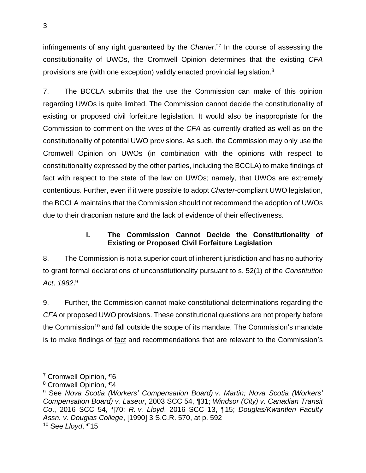infringements of any right guaranteed by the *Charter*." 7 In the course of assessing the constitutionality of UWOs, the Cromwell Opinion determines that the existing *CFA* provisions are (with one exception) validly enacted provincial legislation.<sup>8</sup>

7. The BCCLA submits that the use the Commission can make of this opinion regarding UWOs is quite limited. The Commission cannot decide the constitutionality of existing or proposed civil forfeiture legislation. It would also be inappropriate for the Commission to comment on the *vires* of the *CFA* as currently drafted as well as on the constitutionality of potential UWO provisions. As such, the Commission may only use the Cromwell Opinion on UWOs (in combination with the opinions with respect to constitutionality expressed by the other parties, including the BCCLA) to make findings of fact with respect to the state of the law on UWOs; namely, that UWOs are extremely contentious. Further, even if it were possible to adopt *Charter*-compliant UWO legislation, the BCCLA maintains that the Commission should not recommend the adoption of UWOs due to their draconian nature and the lack of evidence of their effectiveness.

#### **i. The Commission Cannot Decide the Constitutionality of Existing or Proposed Civil Forfeiture Legislation**

<span id="page-4-0"></span>8. The Commission is not a superior court of inherent jurisdiction and has no authority to grant formal declarations of unconstitutionality pursuant to s. 52(1) of the *Constitution Act, 1982*. 9

9. Further, the Commission cannot make constitutional determinations regarding the *CFA* or proposed UWO provisions. These constitutional questions are not properly before the Commission<sup>10</sup> and fall outside the scope of its mandate. The Commission's mandate is to make findings of fact and recommendations that are relevant to the Commission's

<sup>7</sup> Cromwell Opinion, ¶6

<sup>8</sup> Cromwell Opinion, ¶4

<sup>9</sup> See *Nova Scotia (Workers' Compensation Board) v. Martin; Nova Scotia (Workers' Compensation Board) v. Laseur*, 2003 SCC 54, ¶31; *Windsor (City) v. Canadian Transit Co*., 2016 SCC 54, ¶70; *R. v. Lloyd*, 2016 SCC 13, ¶15; *Douglas/Kwantlen Faculty Assn. v. Douglas College*, [1990] 3 S.C.R. 570, at p. 592 <sup>10</sup> See *Lloyd*, ¶15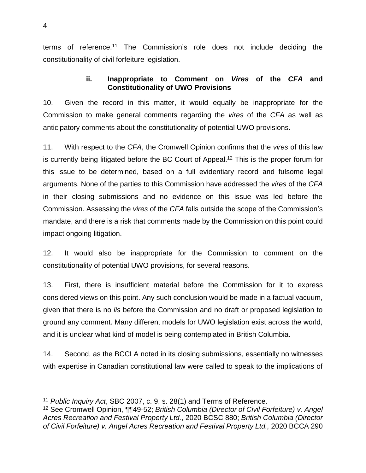<span id="page-5-0"></span>terms of reference.<sup>11</sup> The Commission's role does not include deciding the constitutionality of civil forfeiture legislation.

#### **ii. Inappropriate to Comment on** *Vires* **of the** *CFA* **and Constitutionality of UWO Provisions**

10. Given the record in this matter, it would equally be inappropriate for the Commission to make general comments regarding the *vires* of the *CFA* as well as anticipatory comments about the constitutionality of potential UWO provisions.

11. With respect to the *CFA*, the Cromwell Opinion confirms that the *vires* of this law is currently being litigated before the BC Court of Appeal.<sup>12</sup> This is the proper forum for this issue to be determined, based on a full evidentiary record and fulsome legal arguments. None of the parties to this Commission have addressed the *vires* of the *CFA* in their closing submissions and no evidence on this issue was led before the Commission. Assessing the *vires* of the *CFA* falls outside the scope of the Commission's mandate, and there is a risk that comments made by the Commission on this point could impact ongoing litigation.

12. It would also be inappropriate for the Commission to comment on the constitutionality of potential UWO provisions, for several reasons.

13. First, there is insufficient material before the Commission for it to express considered views on this point. Any such conclusion would be made in a factual vacuum, given that there is no *lis* before the Commission and no draft or proposed legislation to ground any comment. Many different models for UWO legislation exist across the world, and it is unclear what kind of model is being contemplated in British Columbia.

14. Second, as the BCCLA noted in its closing submissions, essentially no witnesses with expertise in Canadian constitutional law were called to speak to the implications of

<sup>11</sup> *Public Inquiry Act*, SBC 2007, c. 9, s. 28(1) and Terms of Reference.

<sup>12</sup> See Cromwell Opinion, ¶¶49-52; *British Columbia (Director of Civil Forfeiture) v. Angel Acres Recreation and Festival Property Ltd.*, 2020 BCSC 880; *British Columbia (Director of Civil Forfeiture) v. Angel Acres Recreation and Festival Property Ltd.,* 2020 BCCA 290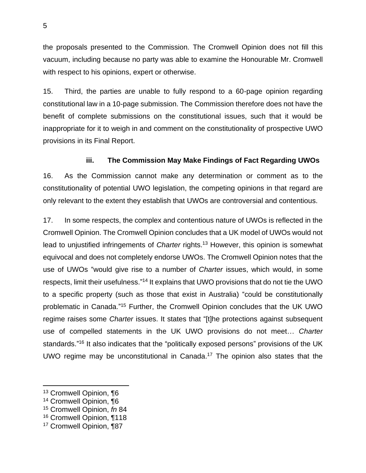the proposals presented to the Commission. The Cromwell Opinion does not fill this vacuum, including because no party was able to examine the Honourable Mr. Cromwell with respect to his opinions, expert or otherwise.

15. Third, the parties are unable to fully respond to a 60-page opinion regarding constitutional law in a 10-page submission. The Commission therefore does not have the benefit of complete submissions on the constitutional issues, such that it would be inappropriate for it to weigh in and comment on the constitutionality of prospective UWO provisions in its Final Report.

#### **iii. The Commission May Make Findings of Fact Regarding UWOs**

<span id="page-6-0"></span>16. As the Commission cannot make any determination or comment as to the constitutionality of potential UWO legislation, the competing opinions in that regard are only relevant to the extent they establish that UWOs are controversial and contentious.

17. In some respects, the complex and contentious nature of UWOs is reflected in the Cromwell Opinion. The Cromwell Opinion concludes that a UK model of UWOs would not lead to unjustified infringements of *Charter* rights.<sup>13</sup> However, this opinion is somewhat equivocal and does not completely endorse UWOs. The Cromwell Opinion notes that the use of UWOs "would give rise to a number of *Charter* issues, which would, in some respects, limit their usefulness."<sup>14</sup> It explains that UWO provisions that do not tie the UWO to a specific property (such as those that exist in Australia) "could be constitutionally problematic in Canada."<sup>15</sup> Further, the Cromwell Opinion concludes that the UK UWO regime raises some *Charter* issues. It states that "[t]he protections against subsequent use of compelled statements in the UK UWO provisions do not meet… *Charter* standards."<sup>16</sup> It also indicates that the "politically exposed persons" provisions of the UK UWO regime may be unconstitutional in Canada. <sup>17</sup> The opinion also states that the

<sup>13</sup> Cromwell Opinion, ¶6

<sup>14</sup> Cromwell Opinion, ¶6

<sup>15</sup> Cromwell Opinion, *fn* 84

<sup>16</sup> Cromwell Opinion, ¶118

<sup>17</sup> Cromwell Opinion, ¶87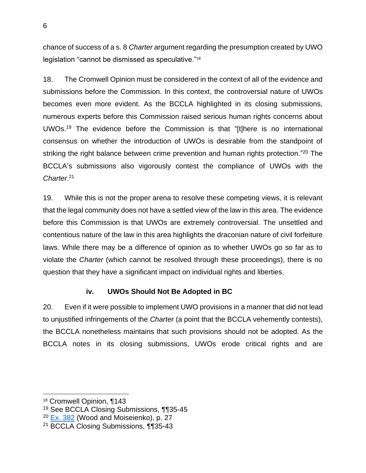chance of success of a s. 8 *Charter* argument regarding the presumption created by UWO legislation "cannot be dismissed as speculative."<sup>18</sup>

18. The Cromwell Opinion must be considered in the context of all of the evidence and submissions before the Commission. In this context, the controversial nature of UWOs becomes even more evident. As the BCCLA highlighted in its closing submissions, numerous experts before this Commission raised serious human rights concerns about UWOs.<sup>19</sup> The evidence before the Commission is that "[t]here is no international consensus on whether the introduction of UWOs is desirable from the standpoint of striking the right balance between crime prevention and human rights protection."<sup>20</sup> The BCCLA's submissions also vigorously contest the compliance of UWOs with the *Charter*. 21

19. While this is not the proper arena to resolve these competing views, it is relevant that the legal community does not have a settled view of the law in this area. The evidence before this Commission is that UWOs are extremely controversial. The unsettled and contentious nature of the law in this area highlights the draconian nature of civil forfeiture laws. While there may be a difference of opinion as to whether UWOs go so far as to violate the *Charter* (which cannot be resolved through these proceedings), there is no question that they have a significant impact on individual rights and liberties.

#### **iv. UWOs Should Not Be Adopted in BC**

<span id="page-7-0"></span>20. Even if it were possible to implement UWO provisions in a manner that did not lead to unjustified infringements of the *Charter* (a point that the BCCLA vehemently contests), the BCCLA nonetheless maintains that such provisions should not be adopted. As the BCCLA notes in its closing submissions, UWOs erode critical rights and are

<sup>18</sup> Cromwell Opinion, ¶143

<sup>19</sup> See BCCLA Closing Submissions, ¶¶35-45

<sup>&</sup>lt;sup>20</sup> [Ex. 382](https://ag-pssg-sharedservices-ex.objectstore.gov.bc.ca/ag-pssg-cc-exh-prod-bkt-ex/382%20-%20Unexplained%20Wealth%20Orders%20-%20UK%20Experience%20and%20Lessons%20for%20BC%20October%202020%20-002-_Redacted.pdf) (Wood and Moiseienko), p. 27

<sup>21</sup> BCCLA Closing Submissions, ¶¶35-43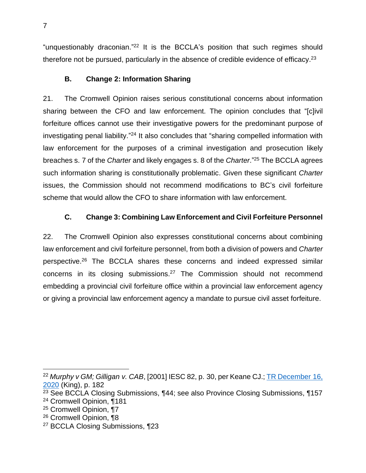"unquestionably draconian." <sup>22</sup> It is the BCCLA's position that such regimes should therefore not be pursued, particularly in the absence of credible evidence of efficacy.<sup>23</sup>

#### <span id="page-8-0"></span>**B. Change 2: Information Sharing**

21. The Cromwell Opinion raises serious constitutional concerns about information sharing between the CFO and law enforcement. The opinion concludes that "[c]ivil forfeiture offices cannot use their investigative powers for the predominant purpose of investigating penal liability."<sup>24</sup> It also concludes that "sharing compelled information with law enforcement for the purposes of a criminal investigation and prosecution likely breaches s. 7 of the *Charter* and likely engages s. 8 of the *Charter*." <sup>25</sup> The BCCLA agrees such information sharing is constitutionally problematic. Given these significant *Charter*  issues, the Commission should not recommend modifications to BC's civil forfeiture scheme that would allow the CFO to share information with law enforcement.

### <span id="page-8-1"></span>**C. Change 3: Combining Law Enforcement and Civil Forfeiture Personnel**

22. The Cromwell Opinion also expresses constitutional concerns about combining law enforcement and civil forfeiture personnel, from both a division of powers and *Charter* perspective.<sup>26</sup> The BCCLA shares these concerns and indeed expressed similar concerns in its closing submissions.<sup>27</sup> The Commission should not recommend embedding a provincial civil forfeiture office within a provincial law enforcement agency or giving a provincial law enforcement agency a mandate to pursue civil asset forfeiture.

<sup>26</sup> Cromwell Opinion, ¶8

<sup>22</sup> *Murphy v GM; Gilligan v. CAB*, [2001] IESC 82, p. 30, per Keane CJ.; TR December 16, 2020 (King), p. 182

<sup>23</sup> See BCCLA Closing Submissions, ¶44; see also Province Closing Submissions, ¶157 <sup>24</sup> Cromwell Opinion, ¶181

<sup>25</sup> Cromwell Opinion, ¶7

<sup>27</sup> BCCLA Closing Submissions, ¶23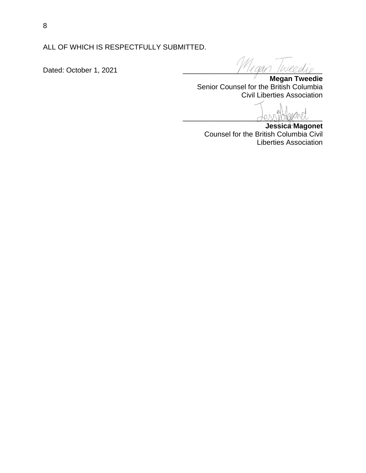ALL OF WHICH IS RESPECTFULLY SUBMITTED.

Dated: October 1, 2021

**Megan Tweedie** Senior Counsel for the British Columbia Civil Liberties Association

 $\bigcup \mathcal{O} \cup \bigcup \cup \bigcup \mathcal{O} \cup \mathcal{P}$ 

**Jessica Magonet** Counsel for the British Columbia Civil Liberties Association